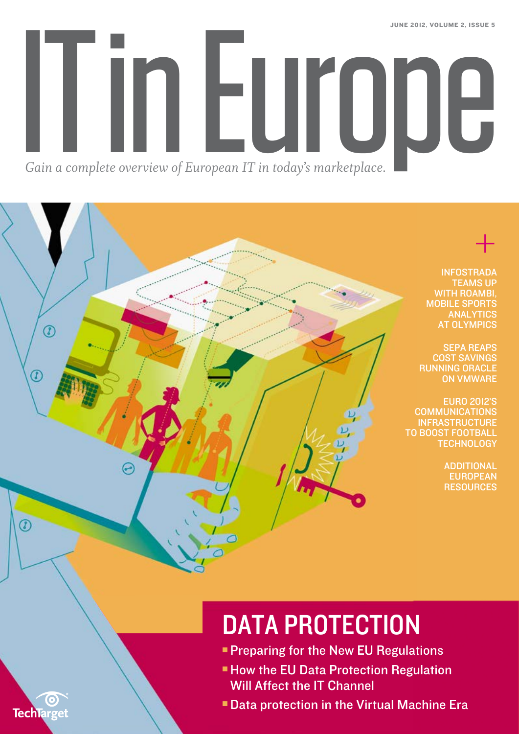<span id="page-0-0"></span>In Europe june 2012, volume 2, issue 5 *Gain a complete overview of European IT in today's marketplace.*

> + **INFOSTRADA** [Teams up](#page-14-0) WITH ROAMBI, Mobile [Sports](#page-14-0) **ANALYTICS AT OLYMPICS**

[SEPA Reaps](#page-17-0) Cost [Savings](#page-17-0) [Running Oracle](#page-17-0) [on VMware](#page-17-0)

[Euro 2012's](#page-19-0) **COMMUNICATIONS INFRASTRUCTURE** TO BOOST FOOTBALL **TECHNOLOGY** 

> **ADDITIONAL EUROPEAN RESOURCES**

# DATA PROTECTION

- **[Preparing for the New EU Regulations](#page-3-0)**
- **How the EU Data Protection Regulation** [Will Affect the IT Channel](#page-8-0)
- **[Data protection in the Virtual Machine Era](#page-9-0)**



 $\circledR$ 

E

 $\circ$ 

 $^\circledR$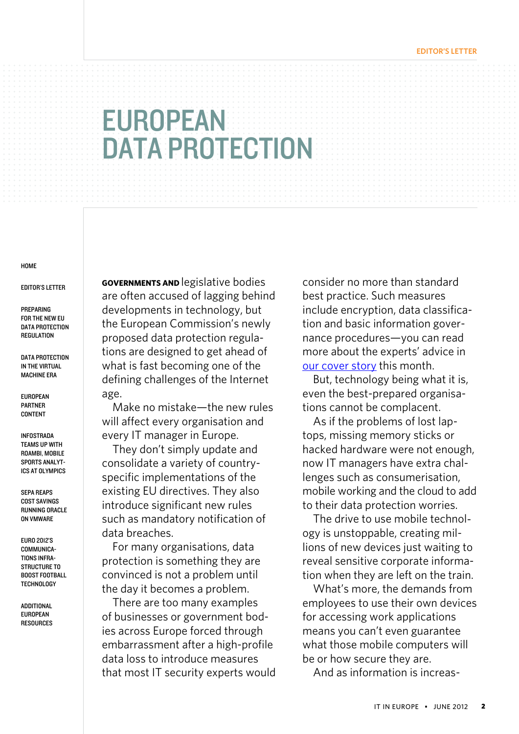#### **EDITOR'S LETTER**

# <span id="page-1-0"></span>**EUROPEAN** DATA PROTECTION

#### **HOME**

Editor's Letter

**PREPARING** [for the New EU](#page-3-0)  DATA PROTECTION **REGULATION** 

DATA PROTECTION [in the Virtual](#page-9-0) [Machine Era](#page-9-0)

[European](#page-13-0)  [Partner](#page-13-0)  **CONTENT** 

[Infostrada](#page-14-0)  [Teams up](#page-14-0) With [Roambi, Mobile](#page-14-0)  [Sports Analyt](#page-14-0)[ics at Olympics](#page-14-0)

SEPA [Reaps](#page-17-0)  [Cost Savings](#page-17-0)  RUNNING ORACLE [on VMware](#page-17-0)

[Euro 2012's](#page-19-0)  [Communica](#page-19-0)[tions Infra-](#page-19-0)STRUCTURE TO [Boost Football](#page-19-0) **TECHNOLOGY** 

**ADDITIONAL** [European](#page-22-0)  **RESOURCES**  **Governments and** legislative bodies are often accused of lagging behind developments in technology, but the European Commission's newly proposed data protection regulations are designed to get ahead of what is fast becoming one of the defining challenges of the Internet age.

Make no mistake—the new rules will affect every organisation and every IT manager in Europe.

They don't simply update and consolidate a variety of countryspecific implementations of the existing EU directives. They also introduce significant new rules such as mandatory notification of data breaches.

For many organisations, data protection is something they are convinced is not a problem until the day it becomes a problem.

There are too many examples of businesses or government bodies across Europe forced through embarrassment after a high-profile data loss to introduce measures that most IT security experts would consider no more than standard best practice. Such measures include encryption, data classification and basic information governance procedures—you can read more about the experts' advice in our cover story this month.

But, technology being what it is, even the best-prepared organisations cannot be complacent.

As if the problems of lost laptops, missing memory sticks or hacked hardware were not enough, now IT managers have extra challenges such as consumerisation, mobile working and the cloud to add to their data protection worries.

The drive to use mobile technology is unstoppable, creating millions of new devices just waiting to reveal sensitive corporate information when they are left on the train.

What's more, the demands from employees to use their own devices for accessing work applications means you can't even guarantee what those mobile computers will be or how secure they are.

And as information is increas-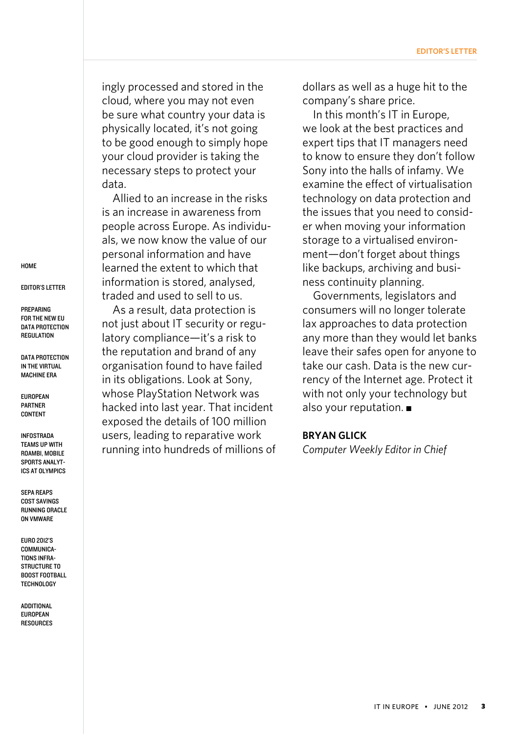ingly processed and stored in the cloud, where you may not even be sure what country your data is physically located, it's not going to be good enough to simply hope your cloud provider is taking the necessary steps to protect your data.

Allied to an increase in the risks is an increase in awareness from people across Europe. As individuals, we now know the value of our personal information and have learned the extent to which that information is stored, analysed, traded and used to sell to us.

As a result, data protection is not just about IT security or regulatory compliance—it's a risk to the reputation and brand of any organisation found to have failed in its obligations. Look at Sony, whose PlayStation Network was hacked into last year. That incident exposed the details of 100 million users, leading to reparative work running into hundreds of millions of dollars as well as a huge hit to the company's share price.

In this month's IT in Europe, we look at the best practices and expert tips that IT managers need to know to ensure they don't follow Sony into the halls of infamy. We examine the effect of virtualisation technology on data protection and the issues that you need to consider when moving your information storage to a virtualised environment—don't forget about things like backups, archiving and business continuity planning.

Governments, legislators and consumers will no longer tolerate lax approaches to data protection any more than they would let banks leave their safes open for anyone to take our cash. Data is the new currency of the Internet age. Protect it with not only your technology but also your reputation.  $\blacksquare$ 

### **BRYAN GLICK**

*Computer Weekly Editor in Chief*

**HOME** 

[Editor's Letter](#page-1-0)

**PREPARING** [for the New EU](#page-3-0)  DATA PROTECTION **REGULATION** 

DATA PROTECTION [in the Virtual](#page-9-0) [Machine Era](#page-9-0)

[European](#page-13-0)  [Partner](#page-13-0)  **CONTENT** 

[Infostrada](#page-14-0)  [Teams up](#page-14-0) With [Roambi, Mobile](#page-14-0)  [Sports Analyt](#page-14-0)[ics at Olympics](#page-14-0)

SEPA [Reaps](#page-17-0)  [Cost Savings](#page-17-0)  **RUNNING ORACLE** [on VMware](#page-17-0)

[Euro 2012's](#page-19-0)  COMMUNICA[tions Infra-](#page-19-0)STRUCTURE TO [Boost Football](#page-19-0) **TECHNOLOGY**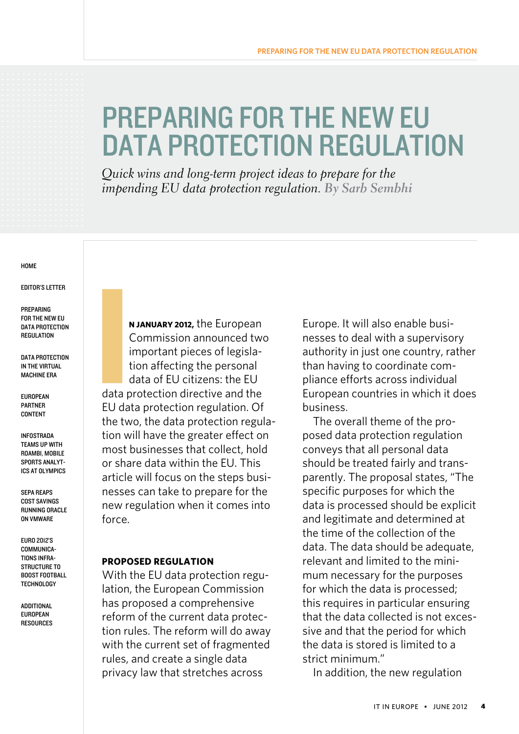# <span id="page-3-0"></span>Preparing for the New EU DATA PROTECTION REGULATION

*Quick wins and long-term project ideas to prepare for the impending EU data protection regulation. By Sarb Sembhi*

#### **HOME**

[Editor's Letter](#page-1-0)

**PREPARING** for the New EU DATA PROTECTION **REGULATION** 

DATA PROTECTION [in the Virtual](#page-9-0) [Machine Era](#page-9-0)

[European](#page-13-0)  [Partner](#page-13-0)  **CONTENT** 

[Infostrada](#page-14-0)  [Teams up](#page-14-0) With [Roambi, Mobile](#page-14-0)  [Sports Analyt](#page-14-0)[ics at Olympics](#page-14-0)

SEPA [Reaps](#page-17-0)  [Cost Savings](#page-17-0)  RUNNING ORACLE [on VMware](#page-17-0)

[Euro 2012's](#page-19-0)  [Communica](#page-19-0)[tions Infra-](#page-19-0)STRUCTURE TO [Boost Football](#page-19-0) **TECHNOLOGY** 

**ADDITIONAL** [European](#page-22-0)  **RESOURCES** 

**n january 2012,** the European Commission announced two important pieces of legislation affecting the personal data of EU citizens: the EU data protection directive and the [EU data protection regulation.](http://www.computerweekly.com/opinion/Proposed-EU-Data-Protection-Regulation-what-should-companies-be-thinking-about) Of the two, the data protection regulation will have the greater effect on most businesses that collect, hold or share data within the EU. This article will focus on the steps businesses can take to prepare for the new regulation when it comes into force. I

### **Proposed Regulation**

With the [EU data protection regu](http://ec.europa.eu/justice/data-protection/document/review2012/com_2012_11_en.pdf)[lation,](http://ec.europa.eu/justice/data-protection/document/review2012/com_2012_11_en.pdf) the European Commission has proposed a comprehensive reform of the current data protection rules. The reform will do away with the current set of fragmented rules, and create a single data privacy law that stretches across

Europe. It will also enable businesses to deal with a supervisory authority in just one country, rather than having to coordinate compliance efforts across individual European countries in which it does business.

The overall theme of the proposed data protection regulation conveys that all personal data should be treated fairly and transparently. The proposal states, "The specific purposes for which the data is processed should be explicit and legitimate and determined at the time of the collection of the data. The data should be adequate, relevant and limited to the minimum necessary for the purposes for which the data is processed; this requires in particular ensuring that the data collected is not excessive and that the period for which the data is stored is limited to a strict minimum."

In addition, the new regulation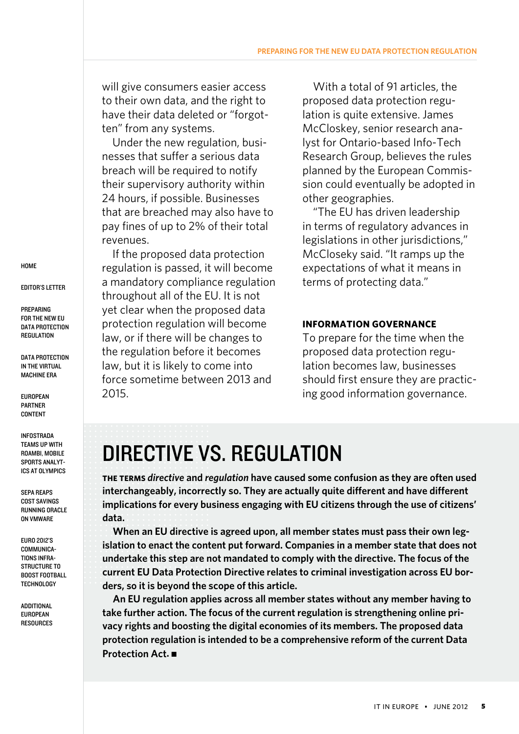will give consumers easier access to their own data, and the right to have their data deleted or "forgotten" from any systems.

Under the new regulation, businesses that suffer a serious data breach will be required to [notify](http://searchsecurity.techtarget.co.uk/news/2240149166/Infosecurity-2012-ICO-opposes-mandatory-data-breach-notification)  [their supervisory authority](http://searchsecurity.techtarget.co.uk/news/2240149166/Infosecurity-2012-ICO-opposes-mandatory-data-breach-notification) within 24 hours, if possible. Businesses that are breached may also have to pay fines of up to 2% of their total revenues.

If the proposed data protection regulation is passed, it will become a mandatory compliance regulation throughout all of the EU. It is not yet clear when the proposed data protection regulation will become law, or if there will be changes to the regulation before it becomes law, but it is likely to come into force sometime between 2013 and 2015.

With a total of 91 articles, the proposed data protection regulation is quite extensive. James McCloskey, senior research analyst for Ontario-based Info-Tech Research Group, believes the rules planned by the European Commission could eventually be adopted in other geographies.

"The EU has driven leadership in terms of regulatory advances in legislations in other jurisdictions," McCloseky said. "It ramps up the expectations of what it means in terms of protecting data."

### **Information Governance**

To prepare for the time when the proposed data protection regulation becomes law, businesses should first ensure they are practicing [good information governance.](http://searchsecurity.techtarget.co.uk/news/1280099387/E-discovery-laws-Having-an-information-governance-framework-matters)

# Directive vs. Regulation

**The terms** *directive* **and** *regulation* **have caused some confusion as they are often used interchangeably, incorrectly so. They are actually quite different and have different implications for every business engaging with EU citizens through the use of citizens' data.** 

**When an EU directive is agreed upon, all member states must pass their own legislation to enact the content put forward. Companies in a member state that does not undertake this step are not mandated to comply with the directive. The focus of the current EU Data Protection Directive relates to criminal investigation across EU borders, so it is beyond the scope of this article.**

**An EU regulation applies across all member states without any member having to take further action. The focus of the current regulation is strengthening online privacy rights and boosting the digital economies of its members. The proposed data protection regulation is intended to be a comprehensive reform of the current Data Protection Act.** n

**HOME** 

[Editor's Letter](#page-1-0)

**PREPARING** [for the New EU](#page-3-0)  DATA PROTECTION **REGULATION** 

DATA PROTECTION [in the Virtual](#page-9-0) [Machine Era](#page-9-0)

[European](#page-13-0)  [Partner](#page-13-0)  **CONTENT** 

[Infostrada](#page-14-0)  [Teams up](#page-14-0) With [Roambi, Mobile](#page-14-0)  [Sports Analyt](#page-14-0)[ics at Olympics](#page-14-0)

SEPA [Reaps](#page-17-0)  [Cost Savings](#page-17-0)  **RUNNING ORACLE** [on VMware](#page-17-0)

[Euro 2012's](#page-19-0)  [Communica](#page-19-0)[tions Infra-](#page-19-0)STRUCTURE TO [Boost Football](#page-19-0) **TECHNOLOGY**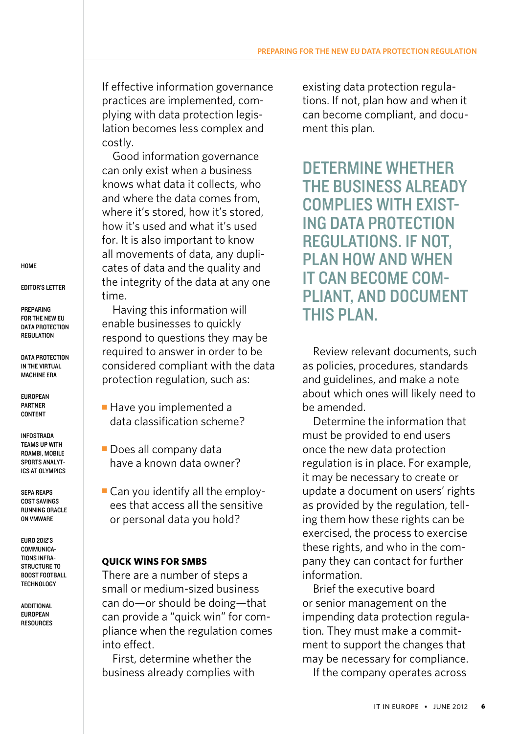If effective information governance practices are implemented, complying with data protection legislation becomes less complex and costly.

Good information governance can only exist when a business knows what data it collects, who and where the data comes from, where it's stored, how it's stored. how it's used and what it's used for. It is also important to know all movements of data, any duplicates of data and the quality and the integrity of the data at any one time.

Having this information will enable businesses to quickly respond to questions they may be required to answer in order to be considered compliant with the data protection regulation, such as:

- $\blacksquare$  Have you implemented a data classification scheme?
- **Does all company data** have a known data owner?

 $\blacksquare$  Can you identify all the employees that access all the sensitive or personal data you hold?

## **Quick Wins for SMBs**

There are a number of steps a small or medium-sized business can do—or should be doing—that can provide a "quick win" for compliance when the regulation comes into effect.

First, determine whether the business already complies with existing data protection regulations. If not, plan how and when it can become compliant, and document this plan.

Determine whether **THE BUSINESS AI READY** complies with existing data protection regulations. If not, plan how and when it can become compliant, and document **THIS PLAN.** 

Review relevant [documents,](http://searchsecurity.techtarget.co.uk/news/1280099387/E-discovery-laws-Having-an-information-governance-framework-matters) such as policies, procedures, standards and guidelines, and make a note about which ones will likely need to be amended.

Determine the information that must be provided to end users once the new data protection regulation is in place. For example, it may be necessary to create or update a document on users' rights as provided by the regulation, telling them how these rights can be exercised, the process to exercise these rights, and who in the company they can contact for further information.

Brief the executive board or senior management on the impending data protection regulation. They must make a commitment to support the changes that may be necessary for compliance. If the company operates across

**HOME** 

[Editor's Letter](#page-1-0)

**PREPARING** [for the New EU](#page-3-0)  DATA PROTECTION **REGULATION** 

DATA PROTECTION [in the Virtual](#page-9-0) [Machine Era](#page-9-0)

[European](#page-13-0)  [Partner](#page-13-0)  **CONTENT** 

[Infostrada](#page-14-0)  [Teams up](#page-14-0) With [Roambi, Mobile](#page-14-0)  [Sports Analyt](#page-14-0)[ics at Olympics](#page-14-0)

SEPA [Reaps](#page-17-0)  [Cost Savings](#page-17-0)  **RUNNING ORACLE** [on VMware](#page-17-0)

[Euro 2012's](#page-19-0)  [Communica](#page-19-0)[tions Infra-](#page-19-0)STRUCTURE TO [Boost Football](#page-19-0) **TECHNOLOGY**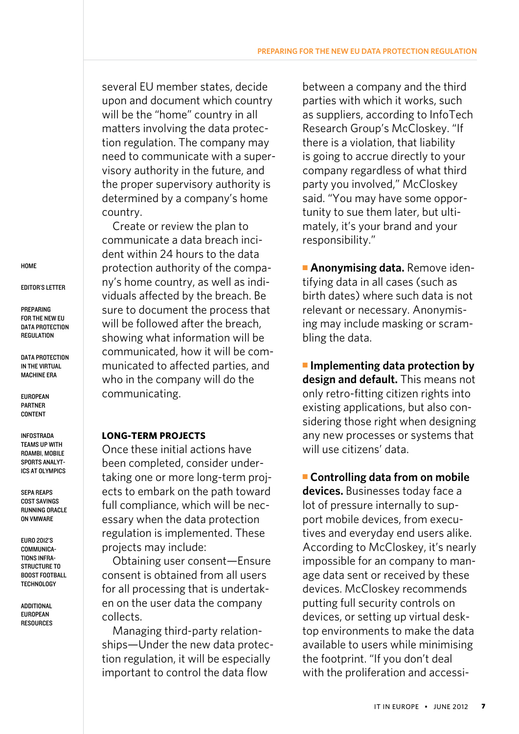several EU member states, decide upon and document which country will be the "home" country in all matters involving the data protection regulation. The company may need to communicate with a supervisory authority in the future, and the proper supervisory authority is determined by a company's home country.

Create or review the plan to communicate a [data breach inci](http://searchsecurity.techtarget.co.uk/news/2240147309/Verizon-data-breach-report-highlights-continuing-POS-vulnerabilities)[dent](http://searchsecurity.techtarget.co.uk/news/2240147309/Verizon-data-breach-report-highlights-continuing-POS-vulnerabilities) within 24 hours to the data protection authority of the company's home country, as well as individuals affected by the breach. Be sure to document the process that will be followed after the breach, showing what information will be communicated, how it will be communicated to affected parties, and who in the company will do the communicating.

## **Long-term Projects**

Once these initial actions have been completed, consider undertaking one or more long-term projects to embark on the path toward full compliance, which will be necessary when the data protection regulation is implemented. These projects may include:

Obtaining user consent—Ensure [consent is obtained from all users](http://searchsecurity.techtarget.co.uk/tutorial/Privacy-and-electronic-communications-regulations-Guide-to-EU-cookie-compliance)  for all processing that is undertaken on the user data the company collects.

Managing third-party relationships—Under the new data protection regulation, it will be especially important to control the data flow

between a company and the third parties with which it works, such as suppliers, according to InfoTech Research Group's McCloskey. "If there is a violation, that liability is going to accrue directly to your company regardless of what third party you involved," McCloskey said. "You may have some opportunity to sue them later, but ultimately, it's your brand and your responsibility."

**Anonymising data.** Remove identifying data in all cases (such as birth dates) where such data is not relevant or necessary. [Anonymis](http://www.computerweekly.com/news/2240104894/Queen-Victoria-Hospital-signs-deal-with-Mastek-to-anonymise-patient-data)[ing](http://www.computerweekly.com/news/2240104894/Queen-Victoria-Hospital-signs-deal-with-Mastek-to-anonymise-patient-data) may include masking or scrambling the data.

**n** Implementing data protection by **design and default.** This means not only retro-fitting citizen rights into existing applications, but also considering those right when designing any new processes or systems that will use citizens' data.

**Example 1 Controlling data from on mobile devices.** Businesses today face a lot of pressure internally to support mobile devices, from executives and everyday end users alike. According to McCloskey, it's nearly impossible for an company to manage data sent or received by these devices. McCloskey recommends putting full security controls on devices, or setting up virtual desktop environments to make the data available to users while minimising the footprint. "If you don't deal with the proliferation and accessi-

**HOME** 

[Editor's Letter](#page-1-0)

**PREPARING** [for the New EU](#page-3-0)  DATA PROTECTION **REGULATION** 

DATA PROTECTION [in the Virtual](#page-9-0) [Machine Era](#page-9-0)

[European](#page-13-0)  [Partner](#page-13-0)  **CONTENT** 

[Infostrada](#page-14-0)  [Teams up](#page-14-0) With [Roambi, Mobile](#page-14-0)  [Sports Analyt](#page-14-0)[ics at Olympics](#page-14-0)

SEPA [Reaps](#page-17-0)  [Cost Savings](#page-17-0)  **RUNNING ORACLE** [on VMware](#page-17-0)

[Euro 2012's](#page-19-0)  [Communica](#page-19-0)[tions Infra-](#page-19-0)STRUCTURE TO [Boost Football](#page-19-0) **TECHNOLOGY**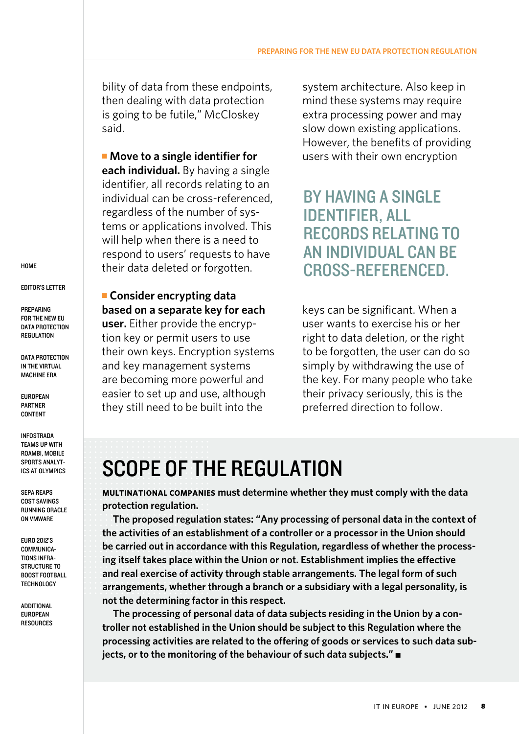bility of data from these endpoints, then dealing with data protection is going to be futile," McCloskey said.

**E** Move to a single identifier for **each individual.** By having a single identifier, all records relating to an individual can be cross-referenced, regardless of the number of systems or applications involved. This will help when there is a need to respond to users' requests to have their data deleted or forgotten.

**Example Consider encrypting data based on a separate key for each** 

**user.** Either provide the encryption key or permit users to use their own keys. [Encryption systems](http://searchsecurity.techtarget.co.uk/news/1511551/Symantec-acquires-PGP-GuardianEdge-for-encryption-key-management)  and key management systems are becoming more powerful and easier to set up and use, although they still need to be built into the

system architecture. Also keep in mind these systems may require extra processing power and may slow down existing applications. However, the benefits of providing users with their own encryption

# By having a single identifier, all records relating to an individual can be cross-referenced.

keys can be significant. When a user wants to exercise his or her right to data deletion, or the right to be forgotten, the user can do so simply by withdrawing the use of the key. For many people who take their privacy seriously, this is the preferred direction to follow.

# Scope of the regulation

**Multinational companies must determine whether they must comply with the data protection regulation.** 

**The proposed regulation states: "Any processing of personal data in the context of the activities of an establishment of a controller or a processor in the Union should be carried out in accordance with this Regulation, regardless of whether the processing itself takes place within the Union or not. Establishment implies the effective and real exercise of activity through stable arrangements. The legal form of such arrangements, whether through a branch or a subsidiary with a legal personality, is not the determining factor in this respect.**

**The processing of personal data of data subjects residing in the Union by a controller not established in the Union should be subject to this Regulation where the processing activities are related to the offering of goods or services to such data subjects, or to the monitoring of the behaviour of such data subjects."** 

**HOME** 

#### [Editor's Letter](#page-1-0)

**PREPARING** [for the New EU](#page-3-0)  DATA PROTECTION **REGULATION** 

DATA PROTECTION [in the Virtual](#page-9-0) [Machine Era](#page-9-0)

[European](#page-13-0)  [Partner](#page-13-0)  **CONTENT** 

[Infostrada](#page-14-0)  [Teams up](#page-14-0) With [Roambi, Mobile](#page-14-0)  [Sports Analyt](#page-14-0)[ics at Olympics](#page-14-0)

SEPA [Reaps](#page-17-0)  [Cost Savings](#page-17-0)  **RUNNING ORACLE** [on VMware](#page-17-0)

[Euro 2012's](#page-19-0)  [Communica](#page-19-0)[tions Infra-](#page-19-0)STRUCTURE TO [Boost Football](#page-19-0) **TECHNOLOGY**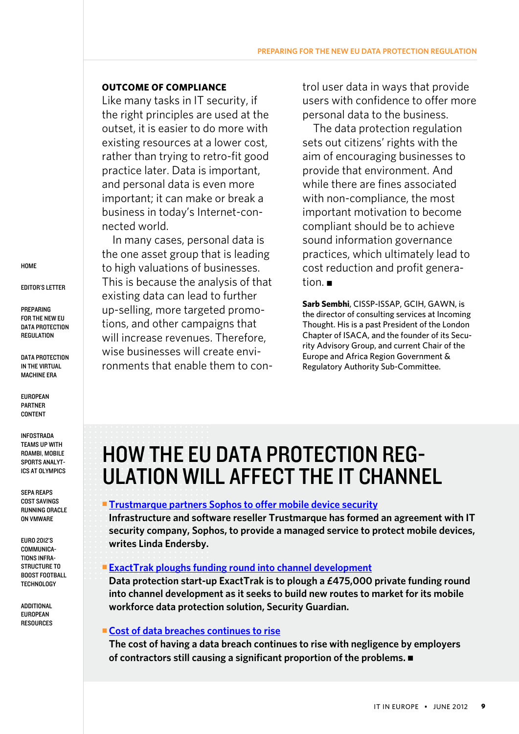### <span id="page-8-0"></span>**Outcome of compliance**

Like many tasks in IT security, if the right principles are used at the outset, it is easier to do more with existing resources at a lower cost, rather than trying to retro-fit good practice later. Data is important, and personal data is even more important; it can make or break a business in today's Internet-connected world.

In many cases, personal data is the one asset group that is leading to high valuations of businesses. This is because the analysis of that existing data can lead to further up-selling, more targeted promotions, and other campaigns that will increase revenues. Therefore, wise businesses will create environments that enable them to control user data in ways that provide users with confidence to offer more personal data to the business.

The data protection regulation sets out citizens' rights with the aim of encouraging businesses to provide that environment. And while there are fines associated with non-compliance, the most important motivation to become compliant should be to achieve sound information governance practices, which ultimately lead to cost reduction and profit generation. $\blacksquare$ 

**Sarb Sembhi**, CISSP-ISSAP, GCIH, GAWN, is the director of consulting services at [Incoming](http://www.incomingthought.co.uk/)  [Thought.](http://www.incomingthought.co.uk/) His is a past President of the London Chapter of ISACA, and the founder of its Security Advisory Group, and current Chair of the Europe and Africa Region Government & Regulatory Authority Sub-Committee.

# HOW THE EU DATA PROTECTION REGulation Will Affect the IT Channel

### **Example 2 Trustmarque partners [Sophos to offer mobile device security](http://www.microscope.co.uk/technology/security/trustmarque-partners-sophos-to-offer-mobile-device-security/)**

**Infrastructure and software reseller Trustmarque has formed an agreement with IT security company, Sophos, to provide a managed service to protect mobile devices, writes Linda Endersby.**

### **[ExactTrak ploughs funding round into channel development](http://www.microscope.co.uk/technology/security/exacttrak-ploughs-funding-round-into-channel-development/)**

**Data protection start-up ExactTrak is to plough a £475,000 private funding round into channel development as it seeks to build new routes to market for its mobile workforce data protection solution, Security Guardian.**

### ■ Cost of data breaches continues to rise

**The cost of having a data breach continues to rise with negligence by employers**  of contractors still causing a significant proportion of the problems.

**HOME** 

[Editor's Letter](#page-1-0)

**PREPARING** [for the New EU](#page-3-0)  DATA PROTECTION **REGULATION** 

DATA PROTECTION [in the Virtual](#page-9-0) [Machine Era](#page-9-0)

**EUROPEAN** [Partner](#page-13-0)  **CONTENT** 

[Infostrada](#page-14-0)  [Teams up](#page-14-0) With [Roambi, Mobile](#page-14-0)  [Sports Analyt](#page-14-0)[ics at Olympics](#page-14-0)

SEPA [Reaps](#page-17-0)  [Cost Savings](#page-17-0)  **RUNNING ORACLE** [on VMware](#page-17-0)

[Euro 2012's](#page-19-0)  COMMUNICA[tions Infra-](#page-19-0)STRUCTURE TO [Boost Football](#page-19-0) **TECHNOLOGY**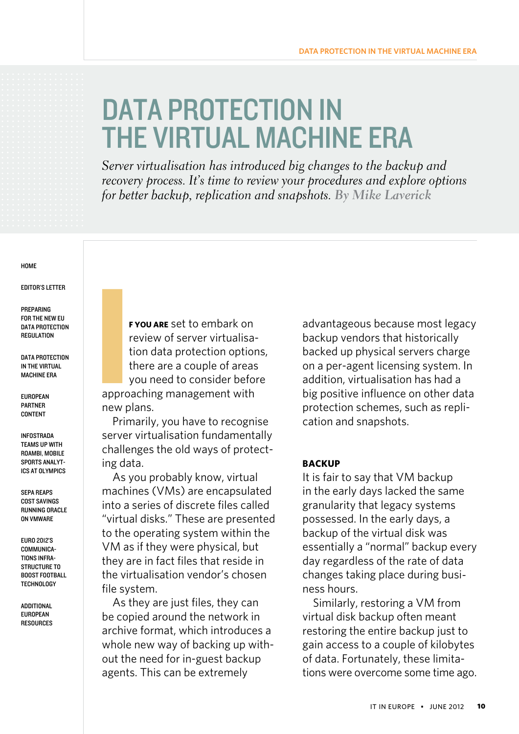# <span id="page-9-0"></span>DATA PROTECTION IN the virtual machine era

*Server virtualisation has introduced big changes to the backup and recovery process. It's time to review your procedures and explore options for better backup, replication and snapshots. By Mike Laverick*

#### **HOME**

[Editor's Letter](#page-1-0)

**PREPARING** [for the New EU](#page-3-0)  DATA PROTECTION **REGULATION** 

DATA PROTECTION in the Virtual Machine Era

[European](#page-13-0)  [Partner](#page-13-0)  **CONTENT** 

[Infostrada](#page-14-0)  [Teams up](#page-14-0) With [Roambi, Mobile](#page-14-0)  [Sports Analyt](#page-14-0)[ics at Olympics](#page-14-0)

SEPA [Reaps](#page-17-0)  [Cost Savings](#page-17-0)  **RUNNING ORACLE** [on VMware](#page-17-0)

[Euro 2012's](#page-19-0)  [Communica](#page-19-0)[tions Infra-](#page-19-0)STRUCTURE TO [Boost Football](#page-19-0) **TECHNOLOGY** 

**ADDITIONAL** [European](#page-22-0)  **RESOURCES** 

**f you are** set to embark on review of server virtualisation data protection options, there are a couple of areas you need to consider before approaching management with new plans. I

Primarily, you have to recognise server virtualisation fundamentally challenges the old ways of protecting data.

As you probably know, virtual machines (VMs) are encapsulated into a series of discrete files called "virtual disks." These are presented to the operating system within the VM as if they were physical, but they are in fact files that reside in the virtualisation vendor's chosen file system.

As they are just files, they can be copied around the network in archive format, which introduces a whole new way of backing up without the need for in-guest backup agents. This can be extremely

advantageous because most legacy backup vendors that historically backed up physical servers charge on a per-agent licensing system. In addition, virtualisation has had a big positive influence on other data protection schemes, such as replication and snapshots.

### **Backup**

It is fair to say that VM backup in the early days lacked the same granularity that legacy systems possessed. In the early days, a backup of the virtual disk was essentially a "normal" backup every day regardless of the rate of data changes taking place during business hours.

Similarly, restoring a VM from virtual disk backup often meant restoring the entire backup just to gain access to a couple of kilobytes of data. Fortunately, these limitations were overcome some time ago.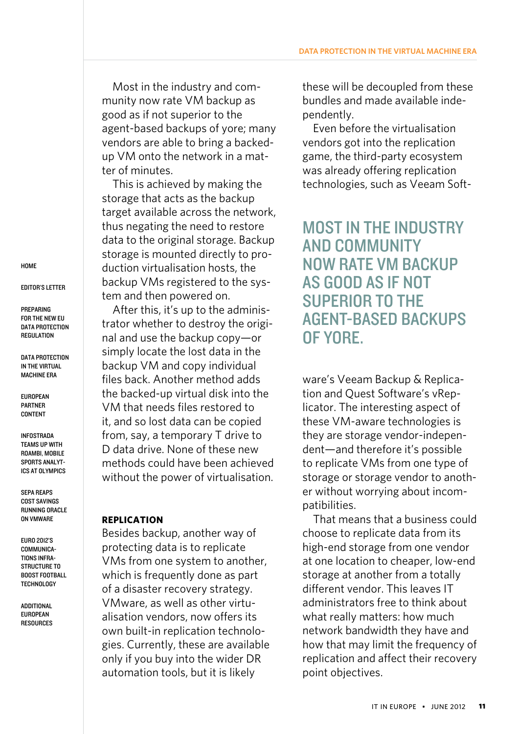Most in the industry and community now rate VM backup as good as if not superior to the agent-based backups of yore; many vendors are able to bring a backedup VM onto the network in a matter of minutes.

This is achieved by making the storage that acts as the backup target available across the network, thus negating the need to restore data to the original storage. Backup storage is mounted directly to production virtualisation hosts, the backup VMs registered to the system and then powered on.

After this, it's up to the administrator whether to destroy the original and use the backup copy—or simply locate the lost data in the backup VM and copy individual files back. Another method adds the backed-up virtual disk into the VM that needs files restored to it, and so lost data can be copied from, say, a temporary T drive to D data drive. None of these new methods could have been achieved without the power of virtualisation.

### **Replication**

Besides backup, another way of protecting data is to replicate VMs from one system to another, which is frequently done as part of a disaster recovery strategy. VMware, as well as other virtualisation vendors, now offers its own built-in replication technologies. Currently, these are available only if you buy into the wider DR automation tools, but it is likely

these will be decoupled from these bundles and made available independently.

Even before the virtualisation vendors got into the replication game, the third-party ecosystem was already offering replication technologies, such as Veeam Soft-

Most in the industry and community now rate VM backup as good as if not superior to the agent-based backups of yore.

ware's Veeam Backup & Replication and Quest Software's vReplicator. The interesting aspect of these VM-aware technologies is they are storage vendor-independent—and therefore it's possible to replicate VMs from one type of storage or storage vendor to another without worrying about incompatibilities.

That means that a business could choose to replicate data from its high-end storage from one vendor at one location to cheaper, low-end storage at another from a totally different vendor. This leaves IT administrators free to think about what really matters: how much network bandwidth they have and how that may limit the frequency of replication and affect their recovery point objectives.

**HOME** 

[Editor's Letter](#page-1-0)

**PREPARING** [for the New EU](#page-3-0)  DATA PROTECTION **REGULATION** 

DATA PROTECTION [in the Virtual](#page-9-0) [Machine Era](#page-9-0)

[European](#page-13-0)  [Partner](#page-13-0)  **CONTENT** 

[Infostrada](#page-14-0)  [Teams up](#page-14-0) With [Roambi, Mobile](#page-14-0)  [Sports Analyt](#page-14-0)[ics at Olympics](#page-14-0)

SEPA [Reaps](#page-17-0)  [Cost Savings](#page-17-0)  **RUNNING ORACLE** [on VMware](#page-17-0)

[Euro 2012's](#page-19-0)  [Communica](#page-19-0)[tions Infra-](#page-19-0)STRUCTURE TO [Boost Football](#page-19-0) **TECHNOLOGY**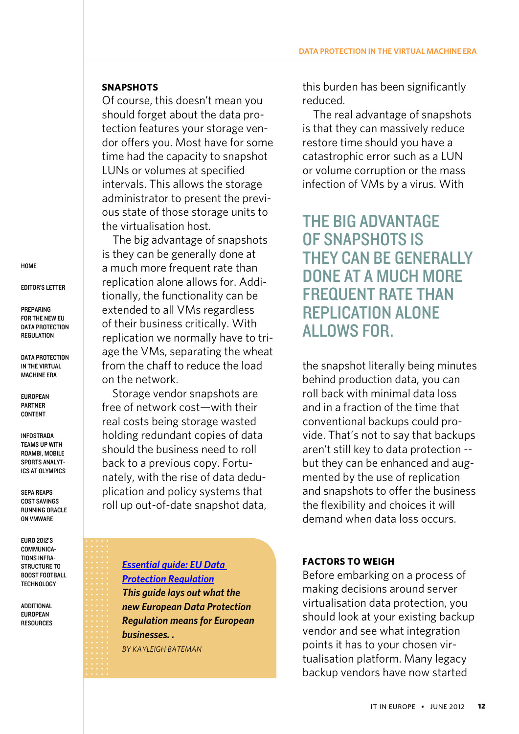### **Snapshots**

Of course, this doesn't mean you should forget about the data protection features your storage vendor offers you. Most have for some time had the capacity to snapshot LUNs or volumes at specified intervals. This allows the storage administrator to present the previous state of those storage units to the virtualisation host.

The big advantage of snapshots is they can be generally done at a much more frequent rate than replication alone allows for. Additionally, the functionality can be extended to all VMs regardless of their business critically. With replication we normally have to triage the VMs, separating the wheat from the chaff to reduce the load on the network.

Storage vendor snapshots are free of network cost—with their real costs being storage wasted holding redundant copies of data should the business need to roll back to a previous copy. Fortunately, with the rise of data deduplication and policy systems that roll up out-of-date snapshot data,

[Euro 2012's](#page-19-0)  [Communica](#page-19-0)[tions Infra-](#page-19-0)STRUCTURE TO [Boost Football](#page-19-0)

**ADDITIONAL** [European](#page-22-0)  **RESOURCES**  this burden has been significantly reduced.

The real advantage of snapshots is that they can massively reduce restore time should you have a catastrophic error such as a LUN or volume corruption or the mass infection of VMs by a virus. With

The big advantage of snapshots is they can be generally done at a much more **FREQUENT RATE THAN** replication alone allows for.

the snapshot literally being minutes behind production data, you can roll back with minimal data loss and in a fraction of the time that conventional backups could provide. That's not to say that backups aren't still key to data protection - but they can be enhanced and augmented by the use of replication and snapshots to offer the business the flexibility and choices it will demand when data loss occurs.

## **Factors to weigh**

Before embarking on a process of making decisions around server virtualisation data protection, you should look at your existing backup vendor and see what integration points it has to your chosen virtualisation platform. Many legacy backup vendors have now started

**HOME** 

[Editor's Letter](#page-1-0)

**PREPARING** [for the New EU](#page-3-0)  DATA PROTECTION **REGULATION** 

DATA PROTECTION [in the Virtual](#page-9-0) [Machine Era](#page-9-0)

[European](#page-13-0)  [Partner](#page-13-0)  **CONTENT** 

[Infostrada](#page-14-0)  [Teams up](#page-14-0) With [Roambi, Mobile](#page-14-0)  [Sports Analyt](#page-14-0)[ics at Olympics](#page-14-0)

SEPA [Reaps](#page-17-0)  [Cost Savings](#page-17-0)  **RUNNING ORACLE** [on VMware](#page-17-0)

*[Protection Regulation](http://www.computerweekly.com/guides/Essential-guide-What-the-EU-Data-Protection-Regulation-changes-mean-to-you) This guide lays out what the new European Data Protection Regulation means for European businesses. . By Kayleigh Bateman*

*[Essential guide: EU Data](http://www.computerweekly.com/guides/Essential-guide-What-the-EU-Data-Protection-Regulation-changes-mean-to-you)*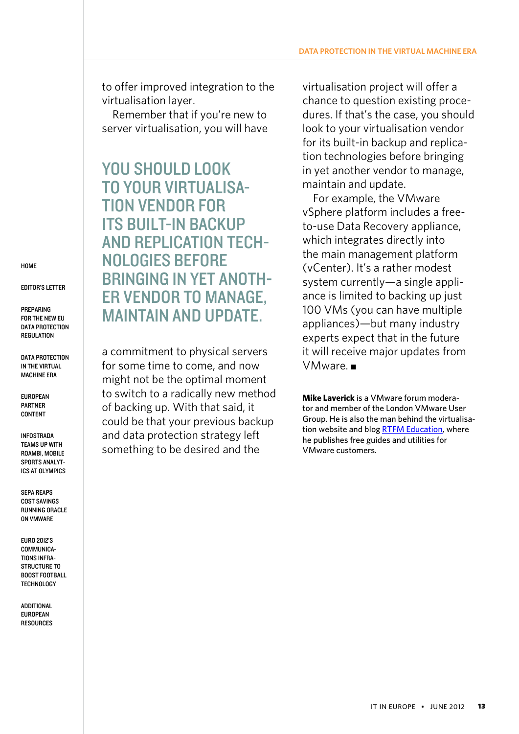to offer improved integration to the virtualisation layer.

Remember that if you're new to server virtualisation, you will have

YOU SHOULD LOOK to your virtualisation vendor for its built-in backup and replication technologies before bringing in yet another vendor to manage, maintain and update.

a commitment to physical servers for some time to come, and now might not be the optimal moment to switch to a radically new method of backing up. With that said, it could be that your previous backup and data protection strategy left something to be desired and the

virtualisation project will offer a chance to question existing procedures. If that's the case, you should look to your virtualisation vendor for its built-in backup and replication technologies before bringing in yet another vendor to manage, maintain and update.

For example, the VMware vSphere platform includes a freeto-use Data Recovery appliance, which integrates directly into the main management platform (vCenter). It's a rather modest system currently—a single appliance is limited to backing up just 100 VMs (you can have multiple appliances)—but many industry experts expect that in the future it will receive major updates from  $VMware.$ 

**Mike Laverick** is a VMware forum moderator and member of the London VMware User Group. He is also the man behind the virtualisation website and blog **RTFM Education**, where he publishes free guides and utilities for VMware customers.

**HOME** 

[Editor's Letter](#page-1-0)

**PREPARING** [for the New EU](#page-3-0)  DATA PROTECTION **REGULATION** 

DATA PROTECTION [in the Virtual](#page-9-0) [Machine Era](#page-9-0)

[European](#page-13-0)  [Partner](#page-13-0)  **CONTENT** 

[Infostrada](#page-14-0)  [Teams up](#page-14-0) With [Roambi, Mobile](#page-14-0)  [Sports Analyt](#page-14-0)[ics at Olympics](#page-14-0)

SEPA [Reaps](#page-17-0)  [Cost Savings](#page-17-0)  **RUNNING ORACLE** [on VMware](#page-17-0)

[Euro 2012's](#page-19-0)  COMMUNICA[tions Infra-](#page-19-0)STRUCTURE TO [Boost Football](#page-19-0) **TECHNOLOGY**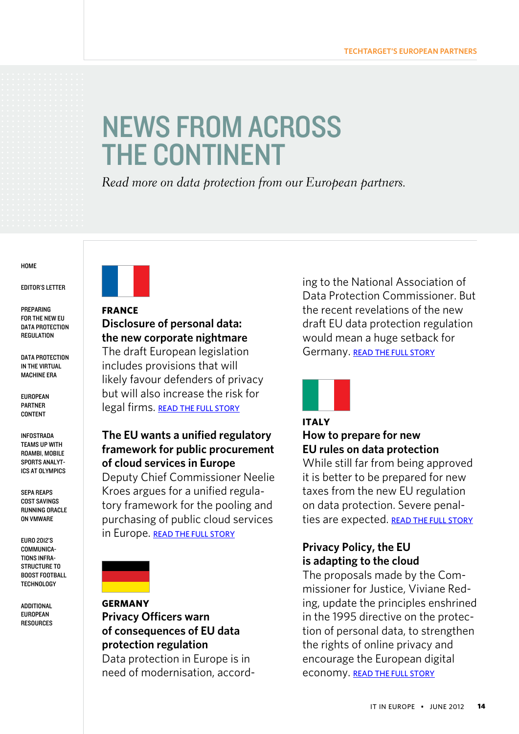# <span id="page-13-0"></span>News From Across **THE CONTINENT**

*Read more on data protection from our European partners.* 

#### **HOME**

[Editor's Letter](#page-1-0)

**PREPARING** [for the New EU](#page-3-0)  DATA PROTECTION **REGULATION** 

DATA PROTECTION [in the Virtual](#page-9-0) [Machine Era](#page-9-0)

European Partner **CONTENT** 

[Infostrada](#page-14-0)  [Teams up](#page-14-0) With [Roambi, Mobile](#page-14-0)  [Sports Analyt](#page-14-0)[ics at Olympics](#page-14-0)

SEPA [Reaps](#page-17-0)  [Cost Savings](#page-17-0)  **RUNNING ORACLE** [on VMware](#page-17-0)

[Euro 2012's](#page-19-0)  [Communica](#page-19-0)[tions Infra-](#page-19-0)STRUCTURE TO [Boost Football](#page-19-0) **TECHNOLOGY** 

**ADDITIONAL** [European](#page-22-0)  **RESOURCES** 



## **France Disclosure of personal data: the new corporate nightmare**

The draft European legislation includes provisions that will likely favour defenders of privacy but will also increase the risk for legal firms. READ THE FULL STORY

# **The EU wants a unified regulatory framework for public procurement of cloud services in Europe**

Deputy Chief Commissioner Neelie Kroes argues for a unified regulatory framework for the pooling and purchasing of public cloud services in Europe. READ THE FULL STORY



## **Germany Privacy Officers warn of consequences of EU data protection regulation**

Data protection in Europe is in need of modernisation, according to the National Association of Data Protection Commissioner. But the recent revelations of the new draft EU data protection regulation would mean a huge setback for Germany. [Read the](http://www.searchcloudcomputing.de/sicherheit/compliance/articles/342597/) full story



## **Italy How to prepare for new EU rules on data protection**

While still far from being approved it is better to be prepared for new taxes from the new EU regulation on data protection. Severe penalties are expected. READ THE FULL STORY

# **Privacy Policy, the EU is adapting to the cloud**

The proposals made by the Commissioner for Justice, Viviane Reding, update the principles enshrined in the 1995 directive on the protection of personal data, to strengthen the rights of online privacy and encourage the European digital economy. READ THE FULL STORY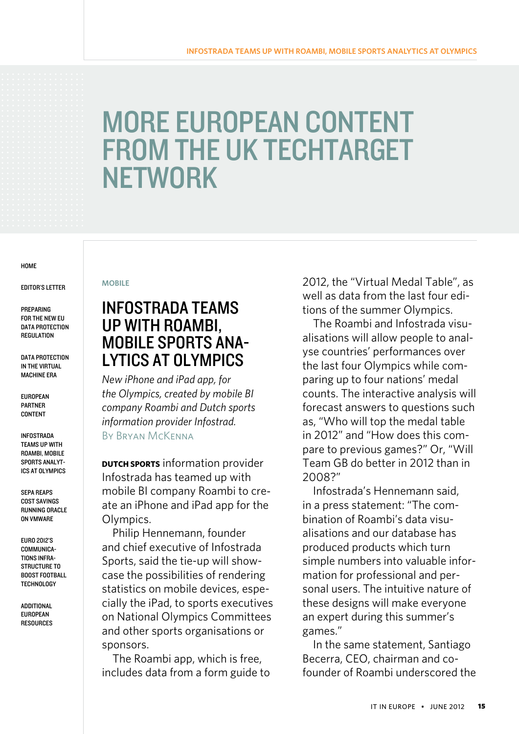# <span id="page-14-0"></span>More European content from the UK TechTarget **NETWORK**

#### **HOME**

#### [Editor's Letter](#page-1-0)

**PREPARING** [for the New EU](#page-3-0)  DATA PROTECTION **REGULATION** 

DATA PROTECTION [in the Virtual](#page-9-0) [Machine Era](#page-9-0)

[European](#page-13-0)  [Partner](#page-13-0)  **CONTENT** 

Infostrada Teams up With Roambi, Mobile Sports Analytics at Olympics

SEPA [Reaps](#page-17-0)  [Cost Savings](#page-17-0)  **RUNNING ORACLE** [on VMware](#page-17-0)

[Euro 2012's](#page-19-0)  [Communica](#page-19-0)[tions Infra-](#page-19-0)STRUCTURE TO [Boost Football](#page-19-0) **TECHNOLOGY** 

[Additional](#page-22-0) [European](#page-22-0)  **RESOURCES** 

#### **mobile**

# Infostrada teams up with Roambi, mobile sports analytics at Olympics

*New iPhone and iPad app, for the Olympics, created by mobile BI company Roambi and Dutch sports information provider Infostrad.*  By Bryan McKenna

**DUTCH SPORTS** information provider Infostrada has teamed up with mobile BI company Roambi to create an iPhone and iPad app for the Olympics.

Philip Hennemann, founder and chief executive of Infostrada Sports, said the tie-up will showcase the possibilities of rendering statistics on mobile devices, especially the iPad, to sports executives on National Olympics Committees and other sports organisations or sponsors.

The Roambi app, which is free, includes data from a form guide to 2012, the "Virtual Medal Table", as well as data from the last four editions of the summer Olympics.

The Roambi and Infostrada visualisations will allow people to analyse countries' performances over the last four Olympics while comparing up to four nations' medal counts. The interactive analysis will forecast answers to questions such as, "Who will top the medal table in 2012" and "How does this compare to previous games?" Or, "Will Team GB do better in 2012 than in 2008?"

Infostrada's Hennemann said, in a press statement: "The combination of Roambi's data visualisations and our database has produced products which turn simple numbers into valuable information for professional and personal users. The intuitive nature of these designs will make everyone an expert during this summer's games."

In the same statement, Santiago Becerra, CEO, chairman and cofounder of Roambi underscored the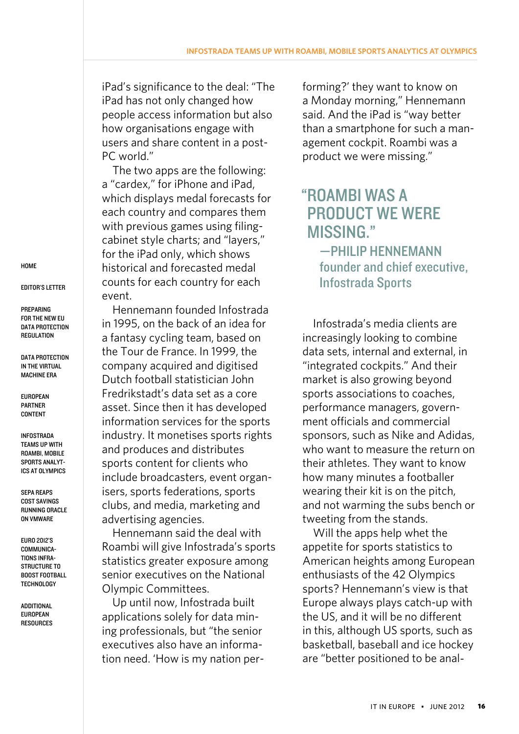iPad's significance to the deal: "The iPad has not only changed how people access information but also how organisations engage with users and share content in a post-PC world."

The two apps are the following: a "cardex," for iPhone and iPad, which displays medal forecasts for each country and compares them with previous games using filingcabinet style charts; and "layers," for the iPad only, which shows historical and forecasted medal counts for each country for each event.

Hennemann founded Infostrada in 1995, on the back of an idea for a fantasy cycling team, based on the Tour de France. In 1999, the company acquired and digitised Dutch football statistician John Fredrikstadt's data set as a core asset. Since then it has developed information services for the sports industry. It monetises sports rights and produces and distributes sports content for clients who include broadcasters, event organisers, sports federations, sports clubs, and media, marketing and advertising agencies.

Hennemann said the deal with Roambi will give Infostrada's sports statistics greater exposure among senior executives on the National Olympic Committees.

Up until now, Infostrada built applications solely for data mining professionals, but "the senior executives also have an information need. 'How is my nation performing?' they want to know on a Monday morning," Hennemann said. And the iPad is "way better than a smartphone for such a management cockpit. Roambi was a product we were missing."

# " Roambi was a product we were missing."

—philip hennemann founder and chief executive, Infostrada Sports

Infostrada's media clients are increasingly looking to combine data sets, internal and external, in "integrated cockpits." And their market is also growing beyond sports associations to coaches, performance managers, government officials and commercial sponsors, such as Nike and Adidas, who want to measure the return on their athletes. They want to know how many minutes a footballer wearing their kit is on the pitch, and not warming the subs bench or tweeting from the stands.

Will the apps help whet the appetite for sports statistics to American heights among European enthusiasts of the 42 Olympics sports? Hennemann's view is that Europe always plays catch-up with the US, and it will be no different in this, although US sports, such as basketball, baseball and ice hockey are "better positioned to be anal-

**HOME** 

[Editor's Letter](#page-1-0)

**PREPARING** [for the New EU](#page-3-0)  DATA PROTECTION **REGULATION** 

DATA PROTECTION [in the Virtual](#page-9-0) [Machine Era](#page-9-0)

[European](#page-13-0)  [Partner](#page-13-0)  **CONTENT** 

[Infostrada](#page-14-0)  [Teams up](#page-14-0) With [Roambi, Mobile](#page-14-0)  [Sports Analyt](#page-14-0)[ics at Olympics](#page-14-0)

SEPA [Reaps](#page-17-0)  [Cost Savings](#page-17-0)  **RUNNING ORACLE** [on VMware](#page-17-0)

[Euro 2012's](#page-19-0)  [Communica](#page-19-0)[tions Infra-](#page-19-0)STRUCTURE TO [Boost Football](#page-19-0) **TECHNOLOGY**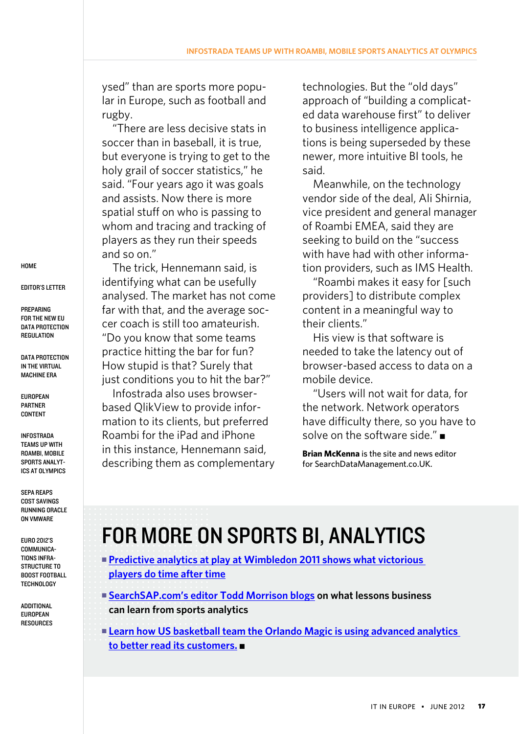ysed" than are sports more popular in Europe, such as football and rugby.

"There are less decisive stats in soccer than in baseball, it is true, but everyone is trying to get to the holy grail of soccer statistics," he said. "Four years ago it was goals and assists. Now there is more spatial stuff on who is passing to whom and tracing and tracking of players as they run their speeds and so on."

The trick, Hennemann said, is identifying what can be usefully analysed. The market has not come far with that, and the average soccer coach is still too amateurish. "Do you know that some teams practice hitting the bar for fun? How stupid is that? Surely that just conditions you to hit the bar?"

Infostrada also uses [browser](http://www.computerweekly.com/news/2240118390/EAT-deploy-Qlikview-to-take-Olympic-challenge)[based QlikView](http://www.computerweekly.com/news/2240118390/EAT-deploy-Qlikview-to-take-Olympic-challenge) to provide information to its clients, but preferred Roambi for the iPad and iPhone in this instance, Hennemann said, describing them as complementary technologies. But the "old days" approach of "building a complicated data warehouse first" to deliver to business intelligence applications is being superseded by these newer, more intuitive BI tools, he said.

Meanwhile, on the technology vendor side of the deal, Ali Shirnia, vice president and general manager of Roambi EMEA, said they are seeking to build on the "success with have had with other information providers, such as IMS Health.

"Roambi makes it easy for [such providers] to distribute complex content in a meaningful way to their clients."

His view is that software is needed to take the latency out of browser-based access to data on a mobile device.

"Users will not wait for data, for the network. Network operators have difficulty there, so you have to solve on the software side." $\blacksquare$ 

**Brian McKenna** is the site and news editor for SearchDataManagement.co.UK.

# For more on sports BI, analytics

- **Predictive analytics at play at Wimbledon 2011 shows what victorious [players do time after time](http://searchdatamanagement.techtarget.co.uk/news/2240037539/Predictive-analytics-data-visualisation-player-tracking-at-play-at-Wimbledon)**
- [SearchSAP.com's editor Todd Morrison blogs](http://itknowledgeexchange.techtarget.com/sap-watch/what-lessons-can-businesses-learn-from-sports-analytics/) on what lessons business **can learn from sports analytics**
- **Exam how US basketball team the Orlando Magic is using advanced analytics** [to better read its customers.](http://searchbusinessanalytics.techtarget.com/news/2240026182/Orlando-Magic-scores-big-with-advanced-analytics-software)

**HOME** 

[Editor's Letter](#page-1-0)

**PREPARING** [for the New EU](#page-3-0)  DATA PROTECTION **REGULATION** 

DATA PROTECTION [in the Virtual](#page-9-0) [Machine Era](#page-9-0)

[European](#page-13-0)  [Partner](#page-13-0)  **CONTENT** 

[Infostrada](#page-14-0)  [Teams up](#page-14-0) With [Roambi, Mobile](#page-14-0)  [Sports Analyt](#page-14-0)[ics at Olympics](#page-14-0)

SEPA [Reaps](#page-17-0)  [Cost Savings](#page-17-0)  **RUNNING ORACLE** [on VMware](#page-17-0)

[Euro 2012's](#page-19-0)  [Communica](#page-19-0)[tions Infra-](#page-19-0)STRUCTURE TO [Boost Football](#page-19-0) **TECHNOLOGY**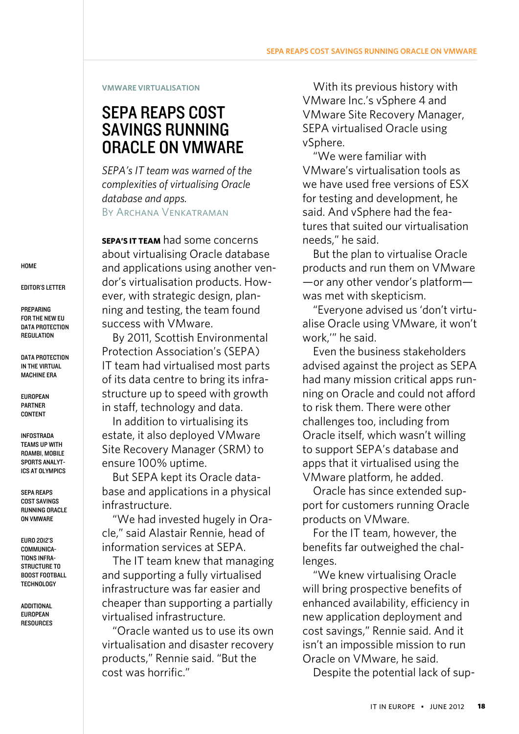#### <span id="page-17-0"></span>**VMware Virtualisation**

# sepa reaps cost savings running oracle on vmware

*SEPA's IT team was warned of the complexities of virtualising Oracle database and apps.*

By Archana Venkatraman

**SEPA's IT team** had some concerns about virtualising Oracle database and applications using another vendor's virtualisation products. However, with strategic design, planning and testing, the team found success with VMware.

By 2011, Scottish Environmental Protection Association's [\(SEPA\)](http://www.sepa.org.uk/) IT team had virtualised most parts of its data centre to bring its infrastructure up to speed with growth in staff, technology and data.

In addition to virtualising its estate, it also deployed [VMware](http://searchvirtualdatacentre.techtarget.co.uk/tip/Demystifying-VMware-Site-Recovery-Manager-and-its-role-in-DR)  [Site Recovery Manager \(SRM\)](http://searchvirtualdatacentre.techtarget.co.uk/tip/Demystifying-VMware-Site-Recovery-Manager-and-its-role-in-DR) to ensure 100% uptime.

But SEPA kept its Oracle database and applications in a physical infrastructure.

"We had invested hugely in Oracle," said Alastair Rennie, head of information services at SEPA.

The IT team knew that managing and supporting a fully virtualised infrastructure was far easier and cheaper than supporting a partially virtualised infrastructure.

"Oracle wanted us to use its own virtualisation and disaster recovery products," Rennie said. "But the cost was horrific."

With its previous history with [VMware Inc.'s vSphere 4](http://searchvmware.techtarget.com/What-is-VMware-vSphere-4) and [VMware Site Recovery Manager,](http://searchvmware.techtarget.com/tip/VMware-Site-Recovery-Manager-How-it-can-help-you) SEPA virtualised Oracle using vSphere.

"We were familiar with VMware's virtualisation tools as we have used free versions of ESX for testing and development, he said. And vSphere had the features that suited our virtualisation needs," he said.

But the plan to virtualise Oracle products and run them on VMware —or any other vendor's platform was met with skepticism.

"Everyone advised us 'don't virtualise Oracle using VMware, it won't work,'" he said.

Even the business stakeholders advised against the project as SEPA had many mission critical apps running on Oracle and could not afford to risk them. There were other challenges too, including from Oracle itself, which wasn't willing to support SEPA's database and apps that it virtualised using the VMware platform, he added.

Oracle has since [extended sup](http://searchvirtualdatacentre.techtarget.co.uk/news/1523811/Oracle-changes-its-tune-about-RAC-on-VMware)[port for customers running Oracle](http://searchvirtualdatacentre.techtarget.co.uk/news/1523811/Oracle-changes-its-tune-about-RAC-on-VMware)  [products on VMware.](http://searchvirtualdatacentre.techtarget.co.uk/news/1523811/Oracle-changes-its-tune-about-RAC-on-VMware)

For the IT team, however, the benefits far outweighed the challenges.

"We knew virtualising Oracle will bring prospective benefits of enhanced availability, efficiency in new application deployment and cost savings," Rennie said. And it isn't an impossible mission to run Oracle on VMware, he said.

Despite the potential lack of sup-

**HOME** 

[Editor's Letter](#page-1-0)

**PREPARING** [for the New EU](#page-3-0)  DATA PROTECTION **REGULATION** 

DATA PROTECTION [in the Virtual](#page-9-0) [Machine Era](#page-9-0)

[European](#page-13-0)  [Partner](#page-13-0)  **CONTENT** 

[Infostrada](#page-14-0)  [Teams up](#page-14-0) With [Roambi, Mobile](#page-14-0)  [Sports Analyt](#page-14-0)[ics at Olympics](#page-14-0)

SEPA Reaps Cost Savings **RUNNING ORACLE** on VMware

[Euro 2012's](#page-19-0)  [Communica](#page-19-0)[tions Infra-](#page-19-0)STRUCTURE TO [Boost Football](#page-19-0) **TECHNOLOGY**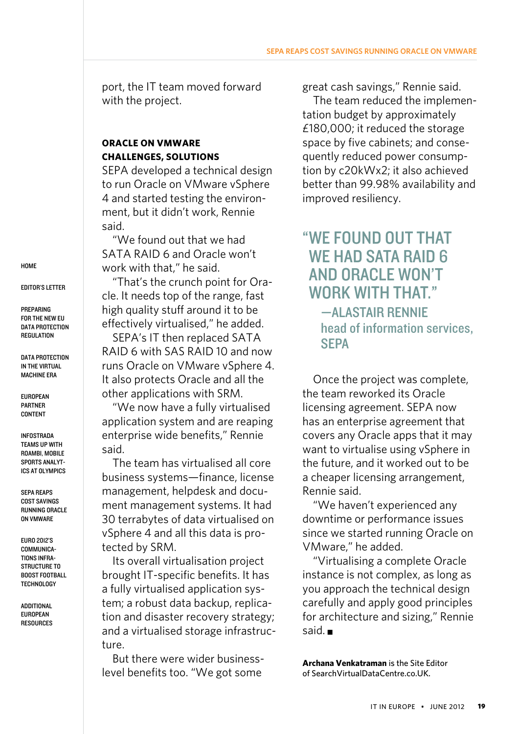port, the IT team moved forward with the project.

## **Oracle on VMware challenges, solutions**

SEPA developed a technical design to run Oracle on VMware vSphere 4 and started testing the environment, but it didn't work, Rennie said.

"We found out that we had SATA RAID 6 and Oracle won't work with that," he said.

"That's the crunch point for Oracle. It needs top of the range, fast high quality stuff around it to be effectively virtualised," he added.

SEPA's IT then replaced SATA RAID 6 with SAS RAID 10 and now runs Oracle on VMware vSphere 4. It also protects Oracle and all the other applications with SRM.

"We now have a fully virtualised application system and are reaping enterprise wide benefits," Rennie said.

The team has virtualised all core business systems—finance, license management, helpdesk and document management systems. It had 30 terrabytes of data virtualised on vSphere 4 and all this data is protected by SRM.

Its overall virtualisation project brought IT-specific benefits. It has a fully virtualised application system; a robust data backup, replication and disaster recovery strategy; and a virtualised storage infrastructure.

But there were wider businesslevel benefits too. "We got some

great cash savings," Rennie said.

The team reduced the implementation budget by approximately £180,000; it reduced the storage space by five cabinets; and consequently reduced power consumption by c20kWx2; it also achieved better than 99.98% availability and improved resiliency.

# " We found out that WE HAD SATA RAID 6 and Oracle won't WORK WITH THAT." —Alastair Rennie head of information services, **SEPA**

Once the project was complete, the team reworked its Oracle licensing agreement. SEPA now has an enterprise agreement that covers any Oracle apps that it may want to virtualise using vSphere in the future, and it worked out to be a cheaper licensing arrangement, Rennie said.

"We haven't experienced any downtime or performance issues since we started running Oracle on VMware," he added.

"Virtualising a complete Oracle instance is not complex, as long as you approach the technical design carefully and apply good principles for architecture and sizing," Rennie said. **n** 

**Archana Venkatraman** is the Site Editor of SearchVirtualDataCentre.co.UK.

**HOME** 

[Editor's Letter](#page-1-0)

**PREPARING** [for the New EU](#page-3-0)  DATA PROTECTION **REGULATION** 

DATA PROTECTION [in the Virtual](#page-9-0) [Machine Era](#page-9-0)

[European](#page-13-0)  [Partner](#page-13-0)  **CONTENT** 

[Infostrada](#page-14-0)  [Teams up](#page-14-0) With [Roambi, Mobile](#page-14-0)  [Sports Analyt](#page-14-0)[ics at Olympics](#page-14-0)

SEPA [Reaps](#page-17-0)  [Cost Savings](#page-17-0)  **RUNNING ORACLE** [on VMware](#page-17-0)

[Euro 2012's](#page-19-0)  [Communica](#page-19-0)[tions Infra-](#page-19-0)STRUCTURE TO [Boost Football](#page-19-0) **TECHNOLOGY**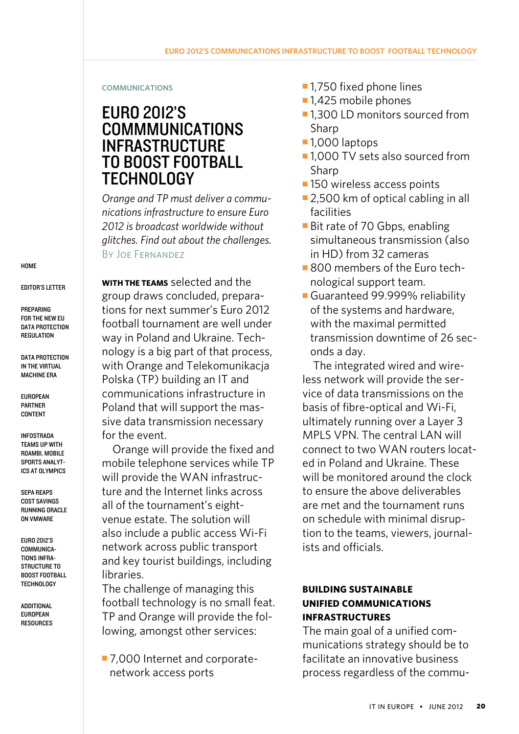#### <span id="page-19-0"></span>**communications**

# Euro 2012's **COMMMUNICATIONS INFRASTRUCTURE** to boost football technology

*Orange and TP must deliver a communications infrastructure to ensure Euro 2012 is broadcast worldwide without glitches. Find out about the challenges.*  By Joe Fernandez

**With the teams** selected and the group draws concluded, preparations for next summer's [Euro 2012](http://www.google.co.uk/url?sa=t&rct=j&q=euro%202012&source=web&cd=1&sqi=2&ved=0CC4QFjAA&url=http%3A%2F%2Fwww.uefa.com%2Fuefaeuro2012%2F&ei=RuHcTuGkOqrv0gHxuYDVDQ&usg=AFQjCNHnS5xNaHuCiVO1F76oAPItVvi9eg&sig2=zNQgiGxWCtMVFUDMupNr6Q) football tournament are well under way in Poland and Ukraine. Technology is a big part of that process, with [Orange](http://www.google.co.uk/url?sa=t&rct=j&q=orange%20corporate&source=web&cd=5&sqi=2&ved=0CFwQFjAE&url=http%3A%2F%2Fwww.orange.com%2F&ei=GeLcTtmoI-Lf0QHA0smcCw&usg=AFQjCNFBGVIstsxVZBW7mkmt7M7deSjpoQ&sig2=0YJjkiIDzZFTzdQI_N2CHA) and Telekomunikacja Polska (TP) building an [IT and](http://itknowledgeexchange.techtarget.com/modern-network-architecture/unified-communications-and-telecom/)  [communications infrastructure](http://itknowledgeexchange.techtarget.com/modern-network-architecture/unified-communications-and-telecom/) in Poland that will support the massive data transmission necessary for the event.

Orange will provide the fixed and mobile telephone services while TP will provide the [WAN infrastruc](http://searchnetworkingchannel.techtarget.com/tip/Designing-a-WAN-infrastructure)[ture](http://searchnetworkingchannel.techtarget.com/tip/Designing-a-WAN-infrastructure) and the Internet links across all of the tournament's eightvenue estate. The solution will also include a public access Wi-Fi network across public transport and key tourist buildings, including libraries.

The challenge of managing this football technology is no small feat. TP and Orange will provide the following, amongst other services:

■ 7,000 Internet and corporatenetwork access ports

- $\blacksquare$  1,750 fixed phone lines
- $-1,425$  mobile phones
- ■1,300 LD monitors sourced from Sharp
- $\blacksquare$  1,000 laptops
- 1,000 TV sets also sourced from Sharp
- **n** 150 wireless [access points](http://searchmobilecomputing.techtarget.com/definition/access-point)
- $\blacksquare$  2,500 km of [optical](http://searchmobilecomputing.techtarget.com/definition/optical-wireless) cabling in all facilities
- [Bit rate](http://searchnetworking.techtarget.com/definition/bit-rate) of 70 [Gbps](http://whatis.techtarget.com/definition/0,,sid9_gci212177,00.html), enabling simultaneous transmission (also in HD) from 32 cameras
- **BOO** members of the Euro technological support team.
- Guaranteed 99.999% reliability of the systems and hardware, with the maximal permitted transmission downtime of 26 seconds a day.

The integrated wired and wireless network will provide the service of [data transmissions on the](http://searchtelecom.techtarget.com/feature/Guide-to-MPLS-VPN-Ethernet-VPLS-edge-networking-services)  [basis](http://searchtelecom.techtarget.com/feature/Guide-to-MPLS-VPN-Ethernet-VPLS-edge-networking-services) of fibre-optical and Wi-Fi, ultimately running over a [Layer 3](http://itknowledgeexchange.techtarget.com/itanswers/types-of-mpls/)  [MPLS VPN](http://itknowledgeexchange.techtarget.com/itanswers/types-of-mpls/). The central LAN will connect to two WAN routers located in Poland and Ukraine. These will be monitored around the clock to ensure the above deliverables are met and the tournament runs on schedule with minimal disruption to the teams, viewers, journalists and officials.

# **Building sustainable unified communications infrastructures**

The main goal of [a unified com](http://searchunifiedcommunications.techtarget.com/answer/Integrating-Unified-Communications-apps-into-an-existing-infrastructure)[munications strategy](http://searchunifiedcommunications.techtarget.com/answer/Integrating-Unified-Communications-apps-into-an-existing-infrastructure) should be to facilitate an innovative business process regardless of the commu-

**HOME** 

[Editor's Letter](#page-1-0)

**PREPARING** [for the New EU](#page-3-0)  DATA PROTECTION **REGULATION** 

DATA PROTECTION [in the Virtual](#page-9-0) [Machine Era](#page-9-0)

[European](#page-13-0)  [Partner](#page-13-0)  **CONTENT** 

[Infostrada](#page-14-0)  [Teams up](#page-14-0) With [Roambi, Mobile](#page-14-0)  [Sports Analyt](#page-14-0)[ics at Olympics](#page-14-0)

SEPA [Reaps](#page-17-0)  [Cost Savings](#page-17-0)  **RUNNING ORACLE** [on VMware](#page-17-0)

Euro 2012's Communications Infra-STRUCTURE TO Boost Football **TECHNOLOGY**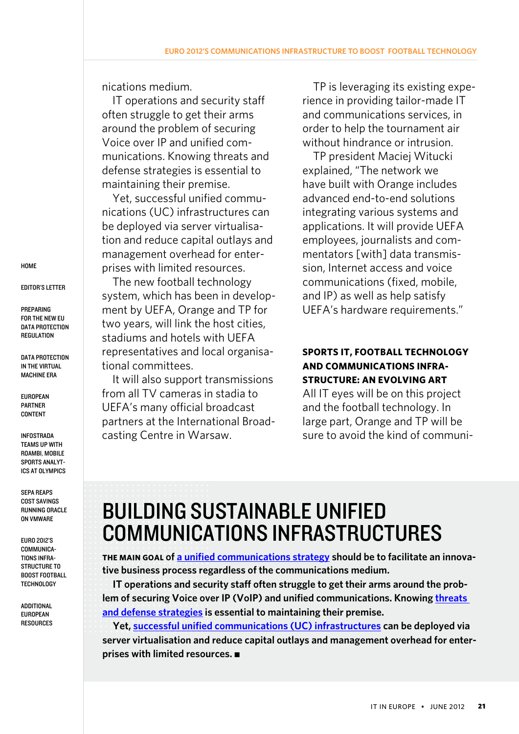nications medium.

IT operations and security staff often struggle to get their arms around the problem of securing Voice over IP and unified communications. Knowing [threats and](http://searchsecurity.techtarget.com/tip/Unified-communications-infrastructure-threats-and-defense-strategies)  [defense strategies](http://searchsecurity.techtarget.com/tip/Unified-communications-infrastructure-threats-and-defense-strategies) is essential to maintaining their premise.

Yet, [successful unified commu](http://searchunifiedcommunications.techtarget.com/news/1373668/Unified-communications-infrastructure-virtualization-now-a-reality)[nications \(UC\) infrastructures](http://searchunifiedcommunications.techtarget.com/news/1373668/Unified-communications-infrastructure-virtualization-now-a-reality) can be deployed via server virtualisation and reduce capital outlays and management overhead for enterprises with limited resources.

The new football technology system, which has been in development by UEFA, Orange and TP for two years, will link the host cities, stadiums and hotels with UEFA representatives and local organisational committees.

It will also support transmissions from all TV cameras in stadia to UEFA's many official broadcast partners at the International Broadcasting Centre in Warsaw.

TP is leveraging its existing experience in providing tailor-made IT and communications services, in order to help the tournament air without hindrance or intrusion.

TP president Maciej Witucki explained, "The network we have built with Orange includes advanced end-to-end solutions integrating various systems and applications. It will provide UEFA employees, journalists and commentators [with] [data transmis](http://searchsecurity.techtarget.com/tip/Secure-data-transmission-methods)[sion](http://searchsecurity.techtarget.com/tip/Secure-data-transmission-methods), Internet access and [voice](http://searchunifiedcommunications.techtarget.com/definition/VoIP)  [communications](http://searchunifiedcommunications.techtarget.com/definition/VoIP) (fixed, mobile, and IP) as well as help satisfy UEFA's hardware requirements."

# **Sports IT, football technology and communications infrastructure: An evolving art**

All IT eyes will be on this project and the football technology. In large part, Orange and TP will be sure to avoid the kind of communi-

# Building sustainable unified communications infrastructures

**The main goal of [a unified communications strategy](http://searchunifiedcommunications.techtarget.com/answer/Integrating-Unified-Communications-apps-into-an-existing-infrastructure) should be to facilitate an innovative business process regardless of the communications medium.**

**IT operations and security staff often struggle to get their arms around the problem of securing Voice over IP (VoIP) and unified communications. Knowing [threats](http://searchsecurity.techtarget.com/tip/Unified-communications-infrastructure-threats-and-defense-strategies)  [and defense strategies](http://searchsecurity.techtarget.com/tip/Unified-communications-infrastructure-threats-and-defense-strategies) is essential to maintaining their premise.**

**Yet, [successful unified communications \(UC\) infrastructures](http://searchunifiedcommunications.techtarget.com/news/1373668/Unified-communications-infrastructure-virtualization-now-a-reality) can be deployed via server virtualisation and reduce capital outlays and management overhead for enterprises with limited resources.** 

**HOME** 

[Editor's Letter](#page-1-0)

**PREPARING** [for the New EU](#page-3-0)  DATA PROTECTION **REGULATION** 

DATA PROTECTION [in the Virtual](#page-9-0) [Machine Era](#page-9-0)

[European](#page-13-0)  [Partner](#page-13-0)  **CONTENT** 

[Infostrada](#page-14-0)  [Teams up](#page-14-0) With [Roambi, Mobile](#page-14-0)  [Sports Analyt](#page-14-0)[ics at Olympics](#page-14-0)

SEPA [Reaps](#page-17-0)  [Cost Savings](#page-17-0)  **RUNNING ORACLE** [on VMware](#page-17-0)

[Euro 2012's](#page-19-0)  [Communica](#page-19-0)[tions Infra-](#page-19-0)STRUCTURE TO [Boost Football](#page-19-0) **TECHNOLOGY**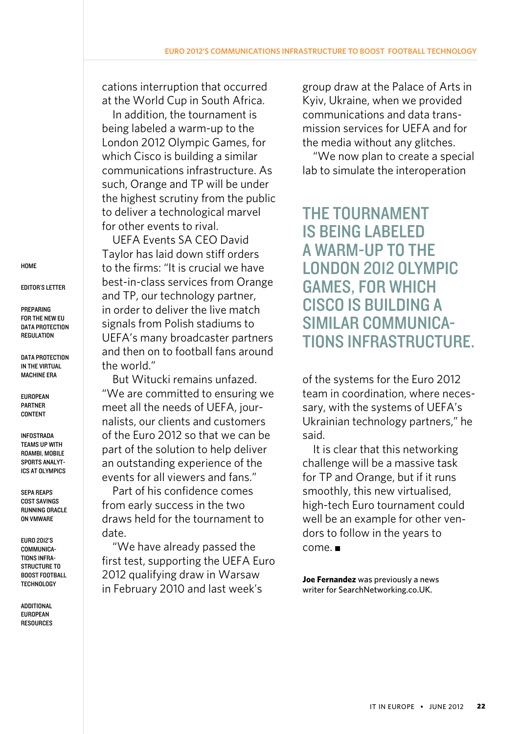cations interruption that occurred at the World Cup in South Africa.

In addition, the tournament is being labeled a warm-up to the London 2012 Olympic Games, for which Cisco is building a similar communications infrastructure. As such, Orange and TP will be under the highest scrutiny from the public to deliver a technological marvel for other events to rival.

UEFA Events SA CEO David Taylor has laid down stiff orders to the firms: "It is crucial we have best-in-class services from Orange and TP, our technology partner, in order to deliver the live match signals from Polish stadiums to UEFA's many broadcaster partners and then on to football fans around the world."

But Witucki remains unfazed. "We are committed to ensuring we meet all the needs of UEFA, journalists, our clients and customers of the Euro 2012 so that we can be part of the solution to help deliver an outstanding experience of the events for all viewers and fans."

Part of his confidence comes from early success in the two draws held for the tournament to date.

"We have already passed the first test, supporting the UEFA Euro 2012 qualifying draw in Warsaw in February 2010 and last week's

group draw at the Palace of Arts in Kyiv, Ukraine, when we provided communications and data transmission services for UEFA and for the media without any glitches.

"We now plan to create a special lab to simulate the [interoperation](http://searchsoa.techtarget.com/definition/interoperability) 

The tournament is being labeled a warm-up to the London 2012 Olympic Games, for which Cisco is building a similar communications infrastructure.

of the systems for the Euro 2012 team in coordination, where necessary, with the systems of UEFA's Ukrainian technology partners," he said.

It is clear that this networking challenge will be a massive task for TP and Orange, but if it runs smoothly, this new virtualised, high-tech Euro tournament could well be an example for other vendors to follow in the years to  $come.$ 

**Joe Fernandez** was previously a news writer for SearchNetworking.co.UK.

**HOME** 

[Editor's Letter](#page-1-0)

**PREPARING** [for the New EU](#page-3-0)  DATA PROTECTION **REGULATION** 

DATA PROTECTION [in the Virtual](#page-9-0) [Machine Era](#page-9-0)

[European](#page-13-0)  [Partner](#page-13-0)  **CONTENT** 

[Infostrada](#page-14-0)  [Teams up](#page-14-0) With [Roambi, Mobile](#page-14-0)  [Sports Analyt](#page-14-0)[ics at Olympics](#page-14-0)

SEPA [Reaps](#page-17-0)  [Cost Savings](#page-17-0)  **RUNNING ORACLE** [on VMware](#page-17-0)

[Euro 2012's](#page-19-0)  [Communica](#page-19-0)[tions Infra-](#page-19-0)STRUCTURE TO [Boost Football](#page-19-0) **TECHNOLOGY**